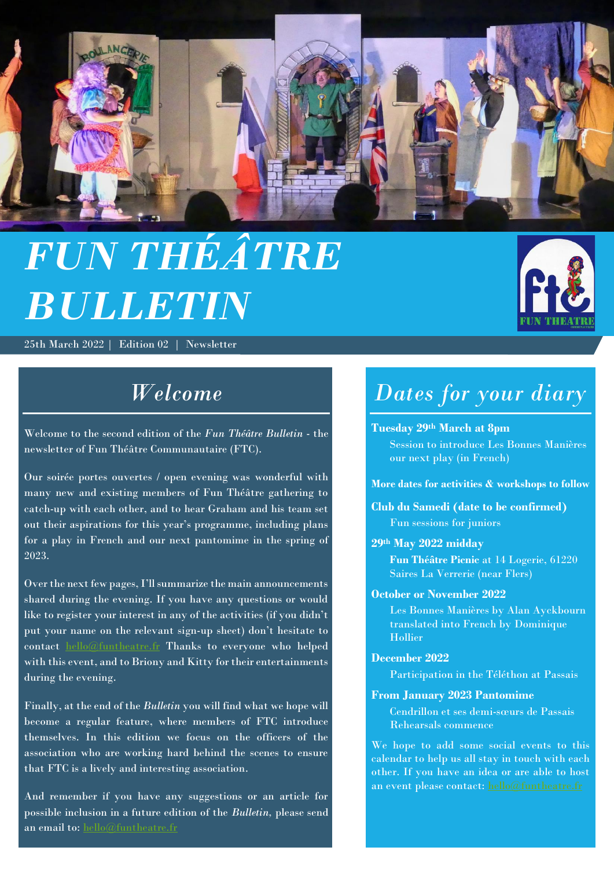

# *FUN THÉÂTRE BULLETIN*

25th March 2022 | Edition 02 | Newsletter



# *Welcome*

Welcome to the second edition of the *Fun Théâtre Bulletin* - the newsletter of Fun Théâtre Communautaire (FTC).

Our soirée portes ouvertes / open evening was wonderful with many new and existing members of Fun Théâtre gathering to catch-up with each other, and to hear Graham and his team set out their aspirations for this year's programme, including plans for a play in French and our next pantomime in the spring of 2023.

Over the next few pages, I'll summarize the main announcements shared during the evening. If you have any questions or would like to register your interest in any of the activities (if you didn't put your name on the relevant sign-up sheet) don't hesitate to contact [hello@funtheatre.fr](mailto:hello@funtheatre.fr) Thanks to everyone who helped with this event, and to Briony and Kitty for their entertainments during the evening.

Finally, at the end of the *Bulletin* you will find what we hope will become a regular feature, where members of FTC introduce themselves. In this edition we focus on the officers of the association who are working hard behind the scenes to ensure that FTC is a lively and interesting association.

And remember if you have any suggestions or an article for possible inclusion in a future edition of the *Bulletin,* please send an email to: [hello@funtheatre.fr](mailto:hello@funtheatre.fr)

# *Dates for your diary*

#### **Tuesday 29th March at 8pm**

Session to introduce Les Bonnes Manières our next play (in French)

**More dates for activities & workshops to follow**

**Club du Samedi (date to be confirmed)** Fun sessions for juniors

#### **29th May 2022 midday**

**Fun Théâtre Picnic** at 14 Logerie, 61220 Saires La Verrerie (near Flers)

#### **October or November 2022**

Les Bonnes Manières by Alan Ayckbourn translated into French by Dominique Hollier

#### **December 2022**

Participation in the Téléthon at Passais

#### **From January 2023 Pantomime**

Cendrillon et ses demi-sœurs de Passais Rehearsals commence

We hope to add some social events to this calendar to help us all stay in touch with each other. If you have an idea or are able to host an event please contact[: hello@funtheatre.fr](mailto:hello@funtheatre.fr)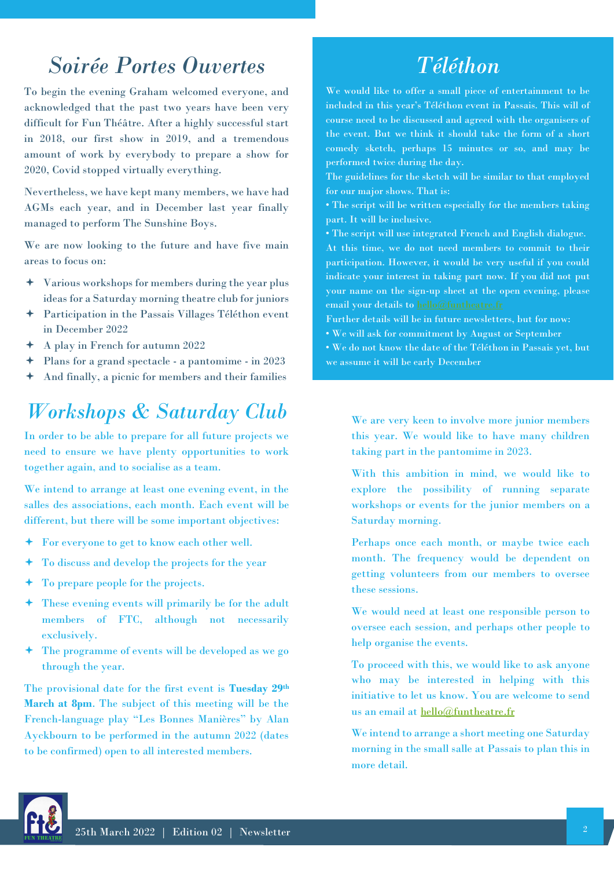### *Soirée Portes Ouvertes*

To begin the evening Graham welcomed everyone, and acknowledged that the past two years have been very difficult for Fun Théâtre. After a highly successful start in 2018, our first show in 2019, and a tremendous amount of work by everybody to prepare a show for 2020, Covid stopped virtually everything.

Nevertheless, we have kept many members, we have had AGMs each year, and in December last year finally managed to perform The Sunshine Boys.

We are now looking to the future and have five main areas to focus on:

- Various workshops for members during the year plus ideas for a Saturday morning theatre club for juniors
- Participation in the Passais Villages Téléthon event in December 2022
- A play in French for autumn 2022
- Plans for a grand spectacle a pantomime in 2023
- And finally, a picnic for members and their families

### *Workshops & Saturday Club*

In order to be able to prepare for all future projects we need to ensure we have plenty opportunities to work together again, and to socialise as a team.

We intend to arrange at least one evening event, in the salles des associations, each month. Each event will be different, but there will be some important objectives:

- For everyone to get to know each other well.
- To discuss and develop the projects for the year
- To prepare people for the projects.
- These evening events will primarily be for the adult members of FTC, although not necessarily exclusively.
- The programme of events will be developed as we go through the year.

The provisional date for the first event is **Tuesday 29th March at 8pm**. The subject of this meeting will be the French-language play "Les Bonnes Manières" by Alan Ayckbourn to be performed in the autumn 2022 (dates to be confirmed) open to all interested members.

### *Téléthon*

We would like to offer a small piece of entertainment to be included in this year's Téléthon event in Passais. This will of course need to be discussed and agreed with the organisers of the event. But we think it should take the form of a short comedy sketch, perhaps 15 minutes or so, and may be performed twice during the day.

The guidelines for the sketch will be similar to that employed for our major shows. That is:

• The script will be written especially for the members taking part. It will be inclusive.

• The script will use integrated French and English dialogue. At this time, we do not need members to commit to their participation. However, it would be very useful if you could indicate your interest in taking part now. If you did not put your name on the sign-up sheet at the open evening, please email your details to [hello@funtheatre.fr](mailto:hello@funtheatre.fr)

Further details will be in future newsletters, but for now:

• We will ask for commitment by August or September

• We do not know the date of the Téléthon in Passais yet, but we assume it will be early December

We are very keen to involve more junior members this year. We would like to have many children taking part in the pantomime in 2023.

With this ambition in mind, we would like to explore the possibility of running separate workshops or events for the junior members on a Saturday morning.

Perhaps once each month, or maybe twice each month. The frequency would be dependent on getting volunteers from our members to oversee these sessions.

We would need at least one responsible person to oversee each session, and perhaps other people to help organise the events.

To proceed with this, we would like to ask anyone who may be interested in helping with this initiative to let us know. You are welcome to send us an email at [hello@funtheatre.fr](mailto:hello@funtheatre.fr)

We intend to arrange a short meeting one Saturday morning in the small salle at Passais to plan this in more detail.

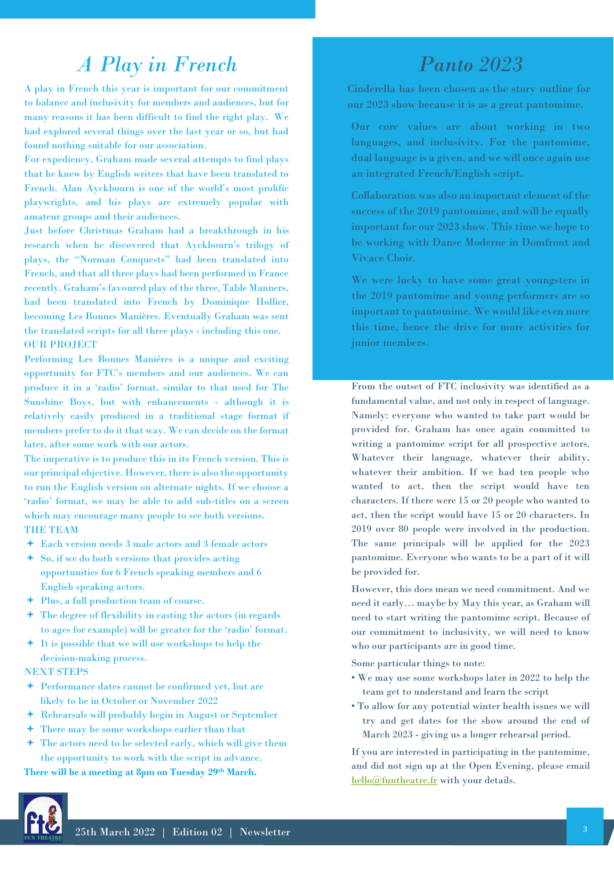### *A Play in French*

A play in French this year is important for our commitment to balance and inclusivity for members and audiences, but for many reasons it has been difficult to find the right play. We had explored several things over the last year or so, but had found nothing suitable for our association.

For expediency, Graham made several attempts to find plays that he knew by English writers that have been translated to French. Alan Ayckbourn is one of the world's most prolific playwrights, and his plays are extremely popular with amateur groups and their audiences.

Just before Christmas Graham had a breakthrough in his research when he discovered that Ayckbourn's trilogy of plays, the "Norman Conquests" had been translated into French, and that all three plays had been performed in France recently. Graham's favoured play of the three, Table Manners, had been translated into French by Dominique Hollier, becoming Les Bonnes Manières. Eventually Graham was sent the translated scripts for all three plays - including this one. OUR PROJECT

Performing Les Bonnes Maniéres is a unique and exciting opportunity for FTC's members and our audiences. We can produce it in a 'radio' format, similar to that used for The Sunshine Boys, but with enhancements - although it is relatively easily produced in a traditional stage format if members prefer to do it that way. We can decide on the format later, after some work with our actors.

The imperative is to produce this in its French version. This is our principal objective. However, there is also the opportunity to run the English version on alternate nights. If we choose a 'radio' format, we may be able to add sub-titles on a screen which may encourage many people to see both versions.

#### THE TEAM

- Each version needs 3 male actors and 3 female actors
- So, if we do both versions that provides acting opportunities for 6 French speaking members and 6 English speaking actors.
- Plus, a full production team of course.
- The degree of flexibility in casting the actors (in regards to ages for example) will be greater for the 'radio' format.
- It is possible that we will use workshops to help the decision-making process.

#### NEXT STEPS

- Performance dates cannot be confirmed yet, but are likely to be in October or November 2022
- Rehearsals will probably begin in August or September
- There may be some workshops earlier than that
- The actors need to be selected early, which will give them the opportunity to work with the script in advance.

**There will be a meeting at 8pm on Tuesday 29th March.**

### *Panto 2023*

Cinderella has been chosen as the story outline for our 2023 show because it is as a great pantomime.

- Our core values are about working in two languages, and inclusivity. For the pantomime, dual language is a given, and we will once again use an integrated French/English script.
- Collaboration was also an important element of the success of the 2019 pantomime, and will be equally important for our 2023 show. This time we hope to be working with Danse Moderne in Domfront and Vivace Choir.
- We were lucky to have some great youngsters in the 2019 pantomime and young performers are so important to pantomime. We would like even more this time, hence the drive for more activities for junior members.

From the outset of FTC inclusivity was identified as a fundamental value, and not only in respect of language. Namely: everyone who wanted to take part would be provided for. Graham has once again committed to writing a pantomime script for all prospective actors. Whatever their language, whatever their ability, whatever their ambition. If we had ten people who wanted to act, then the script would have ten characters. If there were 15 or 20 people who wanted to act, then the script would have 15 or 20 characters. In 2019 over 80 people were involved in the production. The same principals will be applied for the 2023 pantomime. Everyone who wants to be a part of it will be provided for.

However, this does mean we need commitment. And we need it early… maybe by May this year, as Graham will need to start writing the pantomime script. Because of our commitment to inclusivity, we will need to know who our participants are in good time.

Some particular things to note:

- We may use some workshops later in 2022 to help the team get to understand and learn the script
- To allow for any potential winter health issues we will try and get dates for the show around the end of March 2023 - giving us a longer rehearsal period.

If you are interested in participating in the pantomime, and did not sign up at the Open Evening, please email [hello@funtheatre.fr](mailto:hello@funtheatre.fr) with your details.

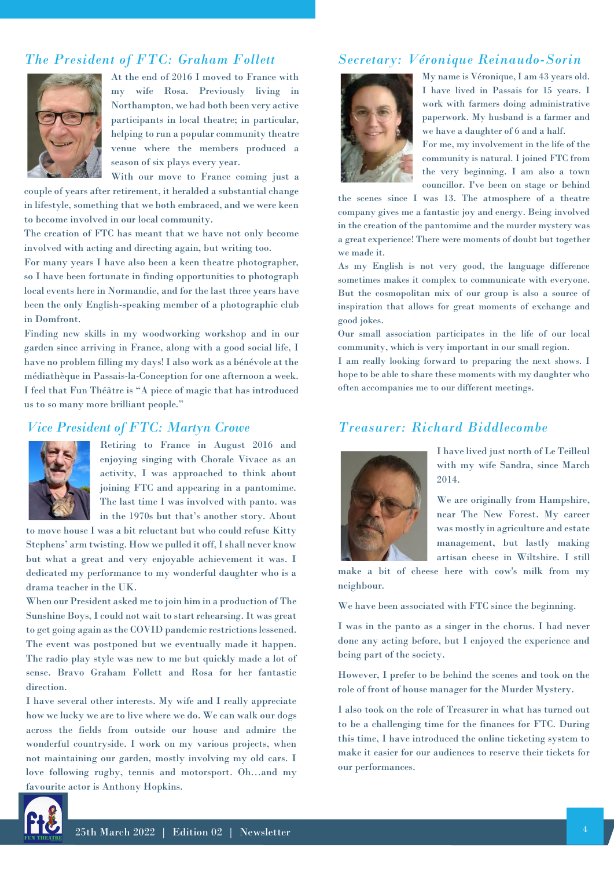### *The President of FTC: Graham Follett*



At the end of 2016 I moved to France with my wife Rosa. Previously living in Northampton, we had both been very active participants in local theatre; in particular, helping to run a popular community theatre venue where the members produced a season of six plays every year.

With our move to France coming just a couple of years after retirement, it heralded a substantial change

in lifestyle, something that we both embraced, and we were keen to become involved in our local community.

The creation of FTC has meant that we have not only become involved with acting and directing again, but writing too.

For many years I have also been a keen theatre photographer, so I have been fortunate in finding opportunities to photograph local events here in Normandie, and for the last three years have been the only English-speaking member of a photographic club in Domfront.

Finding new skills in my woodworking workshop and in our garden since arriving in France, along with a good social life, I have no problem filling my days! I also work as a bénévole at the médiathèque in Passais-la-Conception for one afternoon a week. I feel that Fun Théâtre is "A piece of magic that has introduced us to so many more brilliant people."

#### *Vice President of FTC: Martyn Crowe*



Retiring to France in August 2016 and enjoying singing with Chorale Vivace as an activity, I was approached to think about joining FTC and appearing in a pantomime. The last time I was involved with panto. was in the 1970s but that's another story. About

to move house I was a bit reluctant but who could refuse Kitty Stephens' arm twisting. How we pulled it off, I shall never know but what a great and very enjoyable achievement it was. I dedicated my performance to my wonderful daughter who is a drama teacher in the UK.

When our President asked me to join him in a production of The Sunshine Boys, I could not wait to start rehearsing. It was great to get going again as the COVID pandemic restrictions lessened. The event was postponed but we eventually made it happen. The radio play style was new to me but quickly made a lot of sense. Bravo Graham Follett and Rosa for her fantastic direction.

I have several other interests. My wife and I really appreciate how we lucky we are to live where we do. We can walk our dogs across the fields from outside our house and admire the wonderful countryside. I work on my various projects, when not maintaining our garden, mostly involving my old cars. I love following rugby, tennis and motorsport. Oh…and my favourite actor is Anthony Hopkins.

#### *Secretary: Véronique Reinaudo-Sorin*



My name is Véronique, I am 43 years old. I have lived in Passais for 15 years. I work with farmers doing administrative paperwork. My husband is a farmer and we have a daughter of 6 and a half.

For me, my involvement in the life of the community is natural. I joined FTC from the very beginning. I am also a town councillor. I've been on stage or behind

the scenes since I was 13. The atmosphere of a theatre company gives me a fantastic joy and energy. Being involved in the creation of the pantomime and the murder mystery was a great experience! There were moments of doubt but together we made it.

As my English is not very good, the language difference sometimes makes it complex to communicate with everyone. But the cosmopolitan mix of our group is also a source of inspiration that allows for great moments of exchange and good jokes.

Our small association participates in the life of our local community, which is very important in our small region.

I am really looking forward to preparing the next shows. I hope to be able to share these moments with my daughter who often accompanies me to our different meetings.

### *Treasurer: Richard Biddlecombe*



I have lived just north of Le Teilleul with my wife Sandra, since March 2014.

We are originally from Hampshire, near The New Forest. My career was mostly in agriculture and estate management, but lastly making artisan cheese in Wiltshire. I still

make a bit of cheese here with cow's milk from my neighbour.

We have been associated with FTC since the beginning.

I was in the panto as a singer in the chorus. I had never done any acting before, but I enjoyed the experience and being part of the society.

However, I prefer to be behind the scenes and took on the role of front of house manager for the Murder Mystery.

I also took on the role of Treasurer in what has turned out to be a challenging time for the finances for FTC. During this time, I have introduced the online ticketing system to make it easier for our audiences to reserve their tickets for our performances.